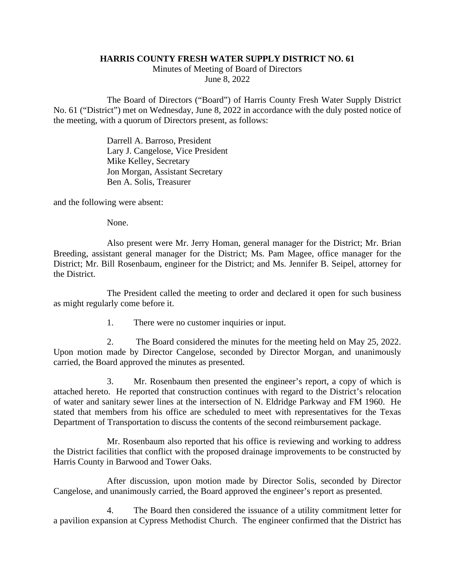## **HARRIS COUNTY FRESH WATER SUPPLY DISTRICT NO. 61**

Minutes of Meeting of Board of Directors June 8, 2022

The Board of Directors ("Board") of Harris County Fresh Water Supply District No. 61 ("District") met on Wednesday, June 8, 2022 in accordance with the duly posted notice of the meeting, with a quorum of Directors present, as follows:

> Darrell A. Barroso, President Lary J. Cangelose, Vice President Mike Kelley, Secretary Jon Morgan, Assistant Secretary Ben A. Solis, Treasurer

and the following were absent:

None.

Also present were Mr. Jerry Homan, general manager for the District; Mr. Brian Breeding, assistant general manager for the District; Ms. Pam Magee, office manager for the District; Mr. Bill Rosenbaum, engineer for the District; and Ms. Jennifer B. Seipel, attorney for the District.

The President called the meeting to order and declared it open for such business as might regularly come before it.

1. There were no customer inquiries or input.

2. The Board considered the minutes for the meeting held on May 25, 2022. Upon motion made by Director Cangelose, seconded by Director Morgan, and unanimously carried, the Board approved the minutes as presented.

3. Mr. Rosenbaum then presented the engineer's report, a copy of which is attached hereto. He reported that construction continues with regard to the District's relocation of water and sanitary sewer lines at the intersection of N. Eldridge Parkway and FM 1960. He stated that members from his office are scheduled to meet with representatives for the Texas Department of Transportation to discuss the contents of the second reimbursement package.

Mr. Rosenbaum also reported that his office is reviewing and working to address the District facilities that conflict with the proposed drainage improvements to be constructed by Harris County in Barwood and Tower Oaks.

After discussion, upon motion made by Director Solis, seconded by Director Cangelose, and unanimously carried, the Board approved the engineer's report as presented.

4. The Board then considered the issuance of a utility commitment letter for a pavilion expansion at Cypress Methodist Church. The engineer confirmed that the District has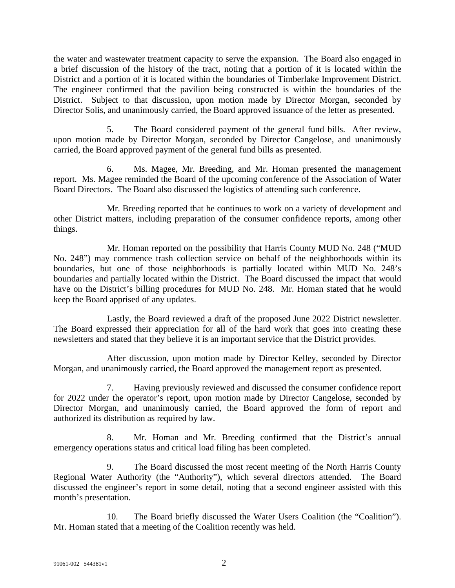the water and wastewater treatment capacity to serve the expansion. The Board also engaged in a brief discussion of the history of the tract, noting that a portion of it is located within the District and a portion of it is located within the boundaries of Timberlake Improvement District. The engineer confirmed that the pavilion being constructed is within the boundaries of the District. Subject to that discussion, upon motion made by Director Morgan, seconded by Director Solis, and unanimously carried, the Board approved issuance of the letter as presented.

5. The Board considered payment of the general fund bills. After review, upon motion made by Director Morgan, seconded by Director Cangelose, and unanimously carried, the Board approved payment of the general fund bills as presented.

6. Ms. Magee, Mr. Breeding, and Mr. Homan presented the management report. Ms. Magee reminded the Board of the upcoming conference of the Association of Water Board Directors. The Board also discussed the logistics of attending such conference.

Mr. Breeding reported that he continues to work on a variety of development and other District matters, including preparation of the consumer confidence reports, among other things.

Mr. Homan reported on the possibility that Harris County MUD No. 248 ("MUD No. 248") may commence trash collection service on behalf of the neighborhoods within its boundaries, but one of those neighborhoods is partially located within MUD No. 248's boundaries and partially located within the District. The Board discussed the impact that would have on the District's billing procedures for MUD No. 248. Mr. Homan stated that he would keep the Board apprised of any updates.

Lastly, the Board reviewed a draft of the proposed June 2022 District newsletter. The Board expressed their appreciation for all of the hard work that goes into creating these newsletters and stated that they believe it is an important service that the District provides.

After discussion, upon motion made by Director Kelley, seconded by Director Morgan, and unanimously carried, the Board approved the management report as presented.

7. Having previously reviewed and discussed the consumer confidence report for 2022 under the operator's report, upon motion made by Director Cangelose, seconded by Director Morgan, and unanimously carried, the Board approved the form of report and authorized its distribution as required by law.

8. Mr. Homan and Mr. Breeding confirmed that the District's annual emergency operations status and critical load filing has been completed.

9. The Board discussed the most recent meeting of the North Harris County Regional Water Authority (the "Authority"), which several directors attended. The Board discussed the engineer's report in some detail, noting that a second engineer assisted with this month's presentation.

10. The Board briefly discussed the Water Users Coalition (the "Coalition"). Mr. Homan stated that a meeting of the Coalition recently was held.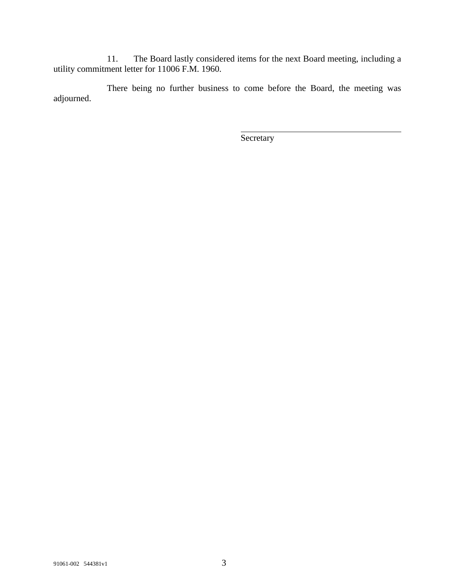11. The Board lastly considered items for the next Board meeting, including a utility commitment letter for 11006 F.M. 1960.

There being no further business to come before the Board, the meeting was adjourned.

**Secretary**